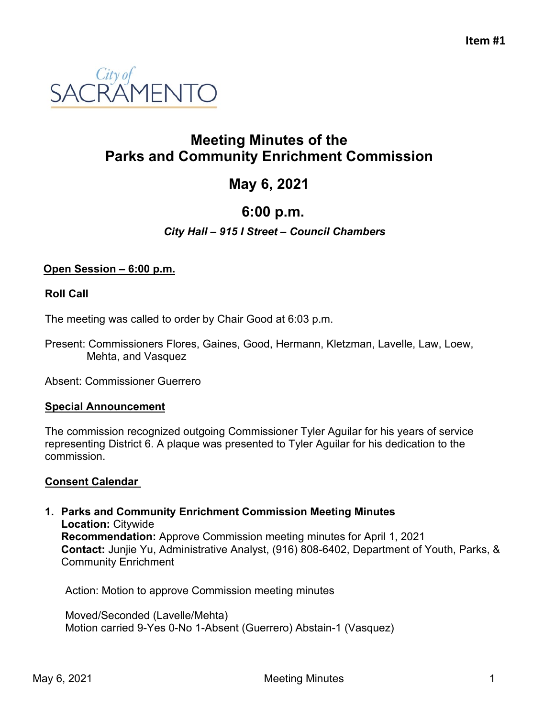

# **Meeting Minutes of the Parks and Community Enrichment Commission**

# **May 6, 2021**

# **6:00 p.m.**

## *City Hall – 915 I Street – Council Chambers*

### **Open Session – 6:00 p.m.**

#### **Roll Call**

The meeting was called to order by Chair Good at 6:03 p.m.

Present: Commissioners Flores, Gaines, Good, Hermann, Kletzman, Lavelle, Law, Loew, Mehta, and Vasquez

Absent: Commissioner Guerrero

#### **Special Announcement**

The commission recognized outgoing Commissioner Tyler Aguilar for his years of service representing District 6. A plaque was presented to Tyler Aguilar for his dedication to the commission.

## **Consent Calendar**

#### **1. Parks and Community Enrichment Commission Meeting Minutes Location:** Citywide **Recommendation:** Approve Commission meeting minutes for April 1, 2021 **Contact:** Junjie Yu, Administrative Analyst, (916) 808-6402, Department of Youth, Parks, & Community Enrichment

Action: Motion to approve Commission meeting minutes

Moved/Seconded (Lavelle/Mehta) Motion carried 9-Yes 0-No 1-Absent (Guerrero) Abstain-1 (Vasquez)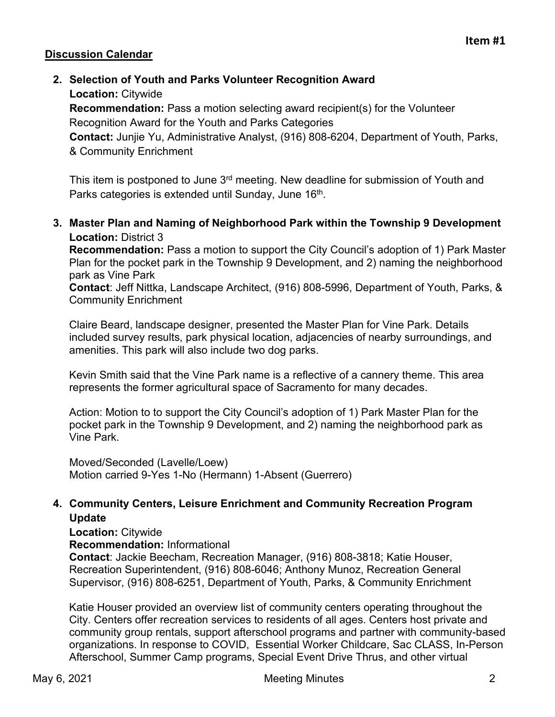### **Discussion Calendar**

**2. Selection of Youth and Parks Volunteer Recognition Award Location:** Citywide

**Recommendation:** Pass a motion selecting award recipient(s) for the Volunteer Recognition Award for the Youth and Parks Categories

**Contact:** Junjie Yu, Administrative Analyst, (916) 808-6204, Department of Youth, Parks, & Community Enrichment

This item is postponed to June 3<sup>rd</sup> meeting. New deadline for submission of Youth and Parks categories is extended until Sunday, June 16<sup>th</sup>.

**3. Master Plan and Naming of Neighborhood Park within the Township 9 Development Location:** District 3

**Recommendation:** Pass a motion to support the City Council's adoption of 1) Park Master Plan for the pocket park in the Township 9 Development, and 2) naming the neighborhood park as Vine Park

**Contact**: Jeff Nittka, Landscape Architect, (916) 808-5996, Department of Youth, Parks, & Community Enrichment

Claire Beard, landscape designer, presented the Master Plan for Vine Park. Details included survey results, park physical location, adjacencies of nearby surroundings, and amenities. This park will also include two dog parks.

Kevin Smith said that the Vine Park name is a reflective of a cannery theme. This area represents the former agricultural space of Sacramento for many decades.

Action: Motion to to support the City Council's adoption of 1) Park Master Plan for the pocket park in the Township 9 Development, and 2) naming the neighborhood park as Vine Park.

Moved/Seconded (Lavelle/Loew) Motion carried 9-Yes 1-No (Hermann) 1-Absent (Guerrero)

### **4. Community Centers, Leisure Enrichment and Community Recreation Program Update**

**Location:** Citywide

**Recommendation:** Informational

**Contact**: Jackie Beecham, Recreation Manager, (916) 808-3818; Katie Houser, Recreation Superintendent, (916) 808-6046; Anthony Munoz, Recreation General Supervisor, (916) 808-6251, Department of Youth, Parks, & Community Enrichment

Katie Houser provided an overview list of community centers operating throughout the City. Centers offer recreation services to residents of all ages. Centers host private and community group rentals, support afterschool programs and partner with community-based organizations. In response to COVID, Essential Worker Childcare, Sac CLASS, In-Person Afterschool, Summer Camp programs, Special Event Drive Thrus, and other virtual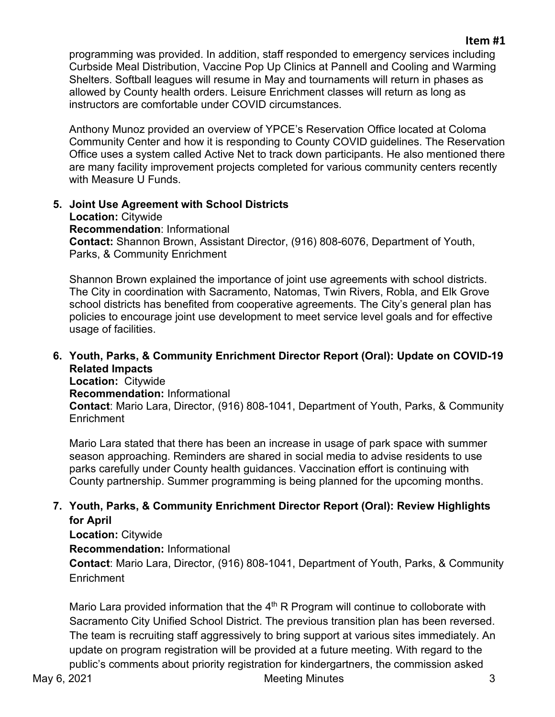### **Item #1**

programming was provided. In addition, staff responded to emergency services including Curbside Meal Distribution, Vaccine Pop Up Clinics at Pannell and Cooling and Warming Shelters. Softball leagues will resume in May and tournaments will return in phases as allowed by County health orders. Leisure Enrichment classes will return as long as instructors are comfortable under COVID circumstances.

Anthony Munoz provided an overview of YPCE's Reservation Office located at Coloma Community Center and how it is responding to County COVID guidelines. The Reservation Office uses a system called Active Net to track down participants. He also mentioned there are many facility improvement projects completed for various community centers recently with Measure U Funds.

#### **5. Joint Use Agreement with School Districts Location:** Citywide **Recommendation**: Informational **Contact:** Shannon Brown, Assistant Director, (916) 808-6076, Department of Youth, Parks, & Community Enrichment

Shannon Brown explained the importance of joint use agreements with school districts. The City in coordination with Sacramento, Natomas, Twin Rivers, Robla, and Elk Grove school districts has benefited from cooperative agreements. The City's general plan has policies to encourage joint use development to meet service level goals and for effective usage of facilities.

# **6. Youth, Parks, & Community Enrichment Director Report (Oral): Update on COVID-19 Related Impacts**

**Location:** Citywide **Recommendation:** Informational **Contact**: Mario Lara, Director, (916) 808-1041, Department of Youth, Parks, & Community **Enrichment** 

Mario Lara stated that there has been an increase in usage of park space with summer season approaching. Reminders are shared in social media to advise residents to use parks carefully under County health guidances. Vaccination effort is continuing with County partnership. Summer programming is being planned for the upcoming months.

# **7. Youth, Parks, & Community Enrichment Director Report (Oral): Review Highlights for April**

**Location:** Citywide

**Recommendation:** Informational

**Contact**: Mario Lara, Director, (916) 808-1041, Department of Youth, Parks, & Community **Enrichment** 

Mario Lara provided information that the  $4<sup>th</sup>$  R Program will continue to colloborate with Sacramento City Unified School District. The previous transition plan has been reversed. The team is recruiting staff aggressively to bring support at various sites immediately. An update on program registration will be provided at a future meeting. With regard to the public's comments about priority registration for kindergartners, the commission asked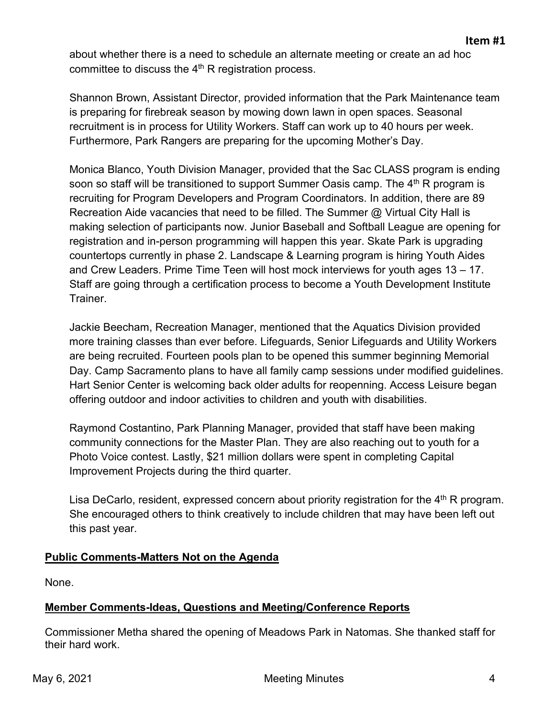about whether there is a need to schedule an alternate meeting or create an ad hoc committee to discuss the  $4<sup>th</sup>$  R registration process.

Shannon Brown, Assistant Director, provided information that the Park Maintenance team is preparing for firebreak season by mowing down lawn in open spaces. Seasonal recruitment is in process for Utility Workers. Staff can work up to 40 hours per week. Furthermore, Park Rangers are preparing for the upcoming Mother's Day.

Monica Blanco, Youth Division Manager, provided that the Sac CLASS program is ending soon so staff will be transitioned to support Summer Oasis camp. The  $4<sup>th</sup>$  R program is recruiting for Program Developers and Program Coordinators. In addition, there are 89 Recreation Aide vacancies that need to be filled. The Summer @ Virtual City Hall is making selection of participants now. Junior Baseball and Softball League are opening for registration and in-person programming will happen this year. Skate Park is upgrading countertops currently in phase 2. Landscape & Learning program is hiring Youth Aides and Crew Leaders. Prime Time Teen will host mock interviews for youth ages 13 – 17. Staff are going through a certification process to become a Youth Development Institute Trainer.

Jackie Beecham, Recreation Manager, mentioned that the Aquatics Division provided more training classes than ever before. Lifeguards, Senior Lifeguards and Utility Workers are being recruited. Fourteen pools plan to be opened this summer beginning Memorial Day. Camp Sacramento plans to have all family camp sessions under modified guidelines. Hart Senior Center is welcoming back older adults for reopenning. Access Leisure began offering outdoor and indoor activities to children and youth with disabilities.

Raymond Costantino, Park Planning Manager, provided that staff have been making community connections for the Master Plan. They are also reaching out to youth for a Photo Voice contest. Lastly, \$21 million dollars were spent in completing Capital Improvement Projects during the third quarter.

Lisa DeCarlo, resident, expressed concern about priority registration for the  $4<sup>th</sup>$  R program. She encouraged others to think creatively to include children that may have been left out this past year.

# **Public Comments-Matters Not on the Agenda**

None.

# **Member Comments-Ideas, Questions and Meeting/Conference Reports**

Commissioner Metha shared the opening of Meadows Park in Natomas. She thanked staff for their hard work.